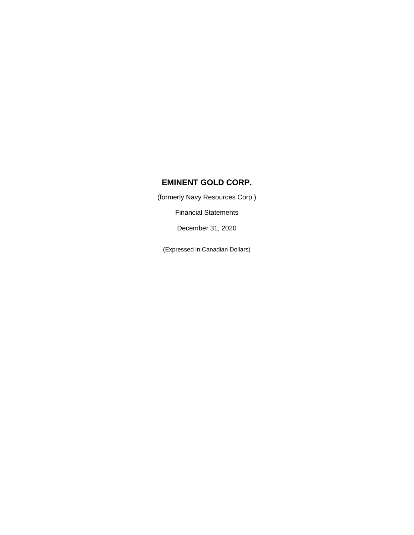# **EMINENT GOLD CORP.**

(formerly Navy Resources Corp.)

Financial Statements

December 31, 2020

(Expressed in Canadian Dollars)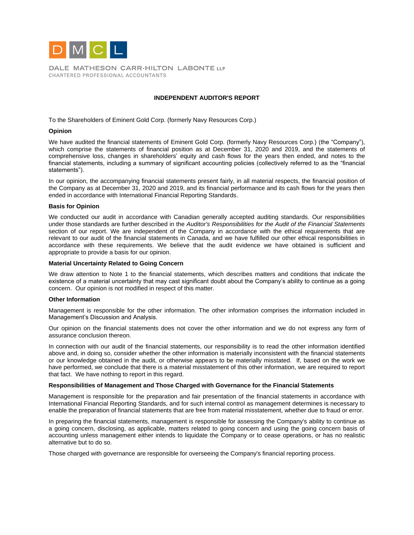

DALE MATHESON CARR-HILTON LABONTE LLP CHARTERED PROFESSIONAL ACCOUNTANTS

#### **INDEPENDENT AUDITOR'S REPORT**

To the Shareholders of Eminent Gold Corp. (formerly Navy Resources Corp.)

#### **Opinion**

We have audited the financial statements of Eminent Gold Corp. (formerly Navy Resources Corp.) (the "Company"), which comprise the statements of financial position as at December 31, 2020 and 2019, and the statements of comprehensive loss, changes in shareholders' equity and cash flows for the years then ended, and notes to the financial statements, including a summary of significant accounting policies (collectively referred to as the "financial statements").

In our opinion, the accompanying financial statements present fairly, in all material respects, the financial position of the Company as at December 31, 2020 and 2019, and its financial performance and its cash flows for the years then ended in accordance with International Financial Reporting Standards.

#### **Basis for Opinion**

We conducted our audit in accordance with Canadian generally accepted auditing standards. Our responsibilities under those standards are further described in the *Auditor's Responsibilities for the Audit of the Financial Statements* section of our report. We are independent of the Company in accordance with the ethical requirements that are relevant to our audit of the financial statements in Canada, and we have fulfilled our other ethical responsibilities in accordance with these requirements. We believe that the audit evidence we have obtained is sufficient and appropriate to provide a basis for our opinion.

#### **Material Uncertainty Related to Going Concern**

We draw attention to Note 1 to the financial statements, which describes matters and conditions that indicate the existence of a material uncertainty that may cast significant doubt about the Company's ability to continue as a going concern. Our opinion is not modified in respect of this matter.

#### **Other Information**

Management is responsible for the other information. The other information comprises the information included in Management's Discussion and Analysis.

Our opinion on the financial statements does not cover the other information and we do not express any form of assurance conclusion thereon.

In connection with our audit of the financial statements, our responsibility is to read the other information identified above and, in doing so, consider whether the other information is materially inconsistent with the financial statements or our knowledge obtained in the audit, or otherwise appears to be materially misstated. If, based on the work we have performed, we conclude that there is a material misstatement of this other information, we are required to report that fact. We have nothing to report in this regard.

#### **Responsibilities of Management and Those Charged with Governance for the Financial Statements**

Management is responsible for the preparation and fair presentation of the financial statements in accordance with International Financial Reporting Standards, and for such internal control as management determines is necessary to enable the preparation of financial statements that are free from material misstatement, whether due to fraud or error.

In preparing the financial statements, management is responsible for assessing the Company's ability to continue as a going concern, disclosing, as applicable, matters related to going concern and using the going concern basis of accounting unless management either intends to liquidate the Company or to cease operations, or has no realistic alternative but to do so.

Those charged with governance are responsible for overseeing the Company's financial reporting process.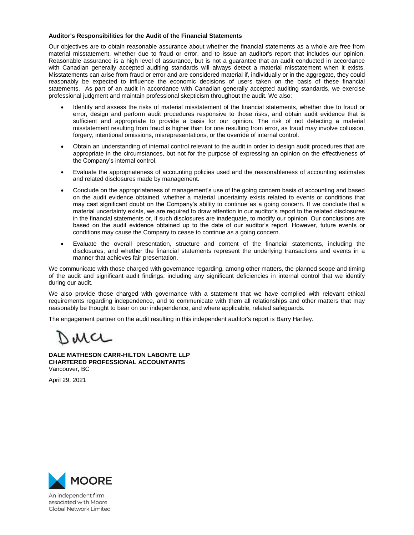#### **Auditor's Responsibilities for the Audit of the Financial Statements**

Our objectives are to obtain reasonable assurance about whether the financial statements as a whole are free from material misstatement, whether due to fraud or error, and to issue an auditor's report that includes our opinion. Reasonable assurance is a high level of assurance, but is not a guarantee that an audit conducted in accordance with Canadian generally accepted auditing standards will always detect a material misstatement when it exists. Misstatements can arise from fraud or error and are considered material if, individually or in the aggregate, they could reasonably be expected to influence the economic decisions of users taken on the basis of these financial statements. As part of an audit in accordance with Canadian generally accepted auditing standards, we exercise professional judgment and maintain professional skepticism throughout the audit. We also:

- Identify and assess the risks of material misstatement of the financial statements, whether due to fraud or error, design and perform audit procedures responsive to those risks, and obtain audit evidence that is sufficient and appropriate to provide a basis for our opinion. The risk of not detecting a material misstatement resulting from fraud is higher than for one resulting from error, as fraud may involve collusion, forgery, intentional omissions, misrepresentations, or the override of internal control.
- Obtain an understanding of internal control relevant to the audit in order to design audit procedures that are appropriate in the circumstances, but not for the purpose of expressing an opinion on the effectiveness of the Company's internal control.
- Evaluate the appropriateness of accounting policies used and the reasonableness of accounting estimates and related disclosures made by management.
- Conclude on the appropriateness of management's use of the going concern basis of accounting and based on the audit evidence obtained, whether a material uncertainty exists related to events or conditions that may cast significant doubt on the Company's ability to continue as a going concern. If we conclude that a material uncertainty exists, we are required to draw attention in our auditor's report to the related disclosures in the financial statements or, if such disclosures are inadequate, to modify our opinion. Our conclusions are based on the audit evidence obtained up to the date of our auditor's report. However, future events or conditions may cause the Company to cease to continue as a going concern.
- Evaluate the overall presentation, structure and content of the financial statements, including the disclosures, and whether the financial statements represent the underlying transactions and events in a manner that achieves fair presentation.

We communicate with those charged with governance regarding, among other matters, the planned scope and timing of the audit and significant audit findings, including any significant deficiencies in internal control that we identify during our audit.

We also provide those charged with governance with a statement that we have complied with relevant ethical requirements regarding independence, and to communicate with them all relationships and other matters that may reasonably be thought to bear on our independence, and where applicable, related safeguards.

The engagement partner on the audit resulting in this independent auditor's report is Barry Hartley.

# MA

**DALE MATHESON CARR-HILTON LABONTE LLP CHARTERED PROFESSIONAL ACCOUNTANTS** Vancouver, BC

April 29, 2021



An independent firm associated with Moore **Global Network Limited**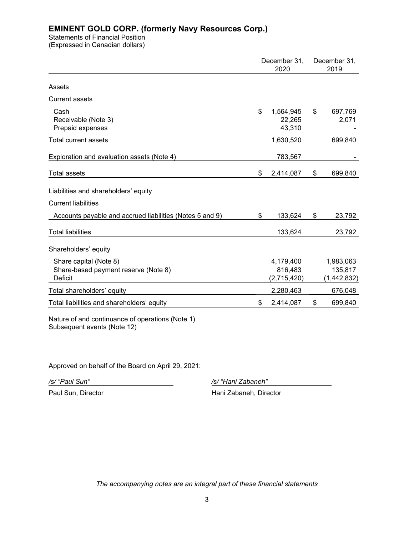Statements of Financial Position (Expressed in Canadian dollars)

|                                                                                  | December 31,                        | December 31, |                                       |
|----------------------------------------------------------------------------------|-------------------------------------|--------------|---------------------------------------|
|                                                                                  | 2020                                |              | 2019                                  |
| Assets                                                                           |                                     |              |                                       |
| <b>Current assets</b>                                                            |                                     |              |                                       |
| Cash<br>Receivable (Note 3)<br>Prepaid expenses                                  | \$<br>1,564,945<br>22,265<br>43,310 | \$           | 697,769<br>2,071                      |
| <b>Total current assets</b>                                                      | 1,630,520                           |              | 699,840                               |
| Exploration and evaluation assets (Note 4)                                       | 783,567                             |              |                                       |
| <b>Total assets</b>                                                              | \$<br>2,414,087                     | \$           | 699,840                               |
| Liabilities and shareholders' equity                                             |                                     |              |                                       |
| <b>Current liabilities</b>                                                       |                                     |              |                                       |
| Accounts payable and accrued liabilities (Notes 5 and 9)                         | \$<br>133,624                       | \$           | 23,792                                |
| <b>Total liabilities</b>                                                         | 133,624                             |              | 23,792                                |
| Shareholders' equity                                                             |                                     |              |                                       |
| Share capital (Note 8)<br>Share-based payment reserve (Note 8)<br><b>Deficit</b> | 4,179,400<br>816,483<br>(2,715,420) |              | 1,983,063<br>135,817<br>(1, 442, 832) |
| Total shareholders' equity                                                       | 2,280,463                           |              | 676,048                               |
| Total liabilities and shareholders' equity                                       | \$<br>2,414,087                     | \$           | 699,840                               |

Nature of and continuance of operations (Note 1) Subsequent events (Note 12)

Approved on behalf of the Board on April 29, 2021:

*/s/ "Paul Sun" /s/ "Hani Zabaneh"*

Paul Sun, Director **Hani Zabaneh, Director** Hani Zabaneh, Director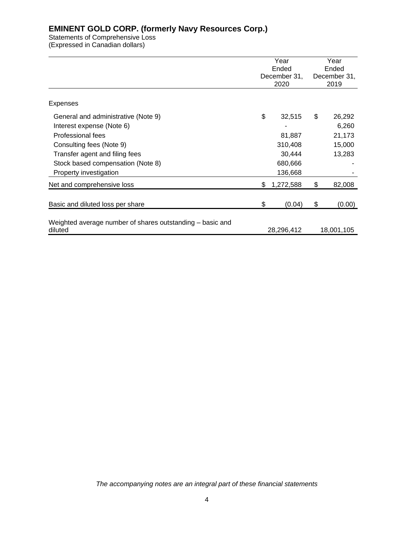Statements of Comprehensive Loss (Expressed in Canadian dollars)

|                                                                      | Year                          |                               | Year       |
|----------------------------------------------------------------------|-------------------------------|-------------------------------|------------|
|                                                                      | Ended<br>December 31,<br>2020 | Ended<br>December 31,<br>2019 |            |
| Expenses                                                             |                               |                               |            |
| General and administrative (Note 9)                                  | \$<br>32,515                  | \$                            | 26,292     |
| Interest expense (Note 6)                                            |                               |                               | 6,260      |
| Professional fees                                                    | 81,887                        |                               | 21,173     |
| Consulting fees (Note 9)                                             | 310,408                       |                               | 15,000     |
| Transfer agent and filing fees                                       | 30,444                        |                               | 13,283     |
| Stock based compensation (Note 8)                                    | 680,666                       |                               |            |
| Property investigation                                               | 136,668                       |                               |            |
| Net and comprehensive loss                                           | \$<br>1,272,588               | \$                            | 82,008     |
| Basic and diluted loss per share                                     | \$<br>(0.04)                  | \$                            | (0.00)     |
| Weighted average number of shares outstanding – basic and<br>diluted | 28,296,412                    |                               | 18,001,105 |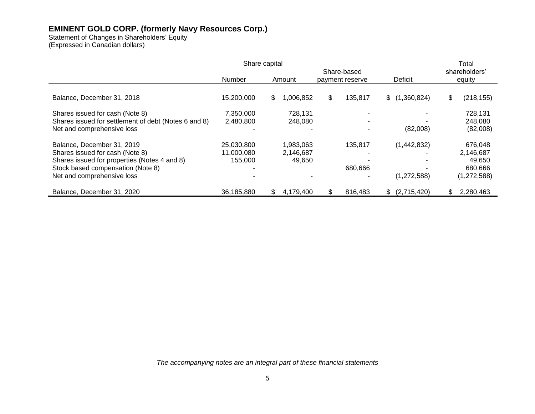Statement of Changes in Shareholders' Equity (Expressed in Canadian dollars)

| Share capital                                        |            |                  |        |                                |                   |                         | Total         |
|------------------------------------------------------|------------|------------------|--------|--------------------------------|-------------------|-------------------------|---------------|
|                                                      | Number     | Amount           |        | Share-based<br>payment reserve | Deficit           | shareholders'<br>equity |               |
|                                                      |            |                  |        |                                |                   |                         |               |
| Balance, December 31, 2018                           | 15,200,000 | \$<br>,006,852   | \$     | 135,817                        | \$(1,360,824)     | \$                      | (218, 155)    |
| Shares issued for cash (Note 8)                      | 7,350,000  | 728,131          |        |                                |                   |                         | 728,131       |
| Shares issued for settlement of debt (Notes 6 and 8) | 2,480,800  | 248,080          |        |                                |                   |                         | 248,080       |
| Net and comprehensive loss                           |            |                  |        |                                | (82,008)          |                         | (82,008)      |
| Balance, December 31, 2019                           | 25,030,800 | 1,983,063        |        | 135,817                        | (1,442,832)       |                         | 676,048       |
| Shares issued for cash (Note 8)                      | 11,000,080 | 2,146,687        |        |                                |                   |                         | 2,146,687     |
| Shares issued for properties (Notes 4 and 8)         | 155,000    |                  | 49,650 |                                |                   |                         | 49,650        |
| Stock based compensation (Note 8)                    |            |                  |        | 680,666                        |                   |                         | 680,666       |
| Net and comprehensive loss                           |            |                  |        |                                | (1,272,588)       |                         | (1, 272, 588) |
| Balance, December 31, 2020                           | 36.185.880 | 4.179.400<br>\$. | \$.    | 816.483                        | (2,715,420)<br>S. | \$.                     | 2,280,463     |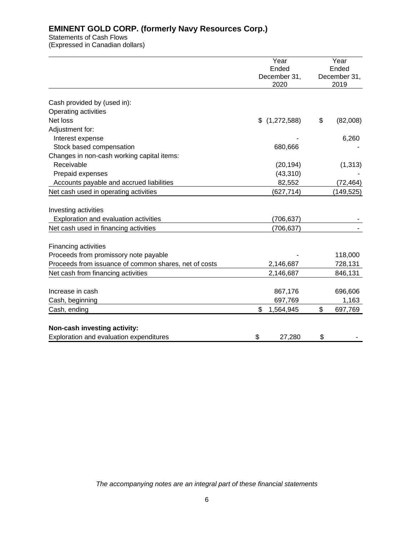# Statements of Cash Flows

(Expressed in Canadian dollars)

|                                                       | Year<br>Ended |               |    | Year         |  |  |
|-------------------------------------------------------|---------------|---------------|----|--------------|--|--|
|                                                       |               |               |    | Ended        |  |  |
|                                                       |               | December 31,  |    | December 31, |  |  |
|                                                       |               | 2020          |    | 2019         |  |  |
| Cash provided by (used in):                           |               |               |    |              |  |  |
| Operating activities                                  |               |               |    |              |  |  |
| Net loss                                              |               | \$(1,272,588) | \$ | (82,008)     |  |  |
| Adjustment for:                                       |               |               |    |              |  |  |
| Interest expense                                      |               |               |    | 6,260        |  |  |
| Stock based compensation                              |               | 680,666       |    |              |  |  |
| Changes in non-cash working capital items:            |               |               |    |              |  |  |
| Receivable                                            |               | (20, 194)     |    | (1, 313)     |  |  |
| Prepaid expenses                                      |               | (43,310)      |    |              |  |  |
| Accounts payable and accrued liabilities              |               | 82,552        |    | (72, 464)    |  |  |
| Net cash used in operating activities                 |               | (627, 714)    |    | (149, 525)   |  |  |
|                                                       |               |               |    |              |  |  |
| Investing activities                                  |               |               |    |              |  |  |
| Exploration and evaluation activities                 |               | (706, 637)    |    |              |  |  |
| Net cash used in financing activities                 |               | (706, 637)    |    |              |  |  |
| Financing activities                                  |               |               |    |              |  |  |
| Proceeds from promissory note payable                 |               |               |    | 118,000      |  |  |
| Proceeds from issuance of common shares, net of costs |               | 2,146,687     |    | 728,131      |  |  |
| Net cash from financing activities                    |               | 2,146,687     |    | 846,131      |  |  |
| Increase in cash                                      |               | 867,176       |    | 696,606      |  |  |
| Cash, beginning                                       |               | 697,769       |    | 1,163        |  |  |
| Cash, ending                                          | \$            | 1,564,945     | \$ | 697,769      |  |  |
|                                                       |               |               |    |              |  |  |
| Non-cash investing activity:                          |               |               |    |              |  |  |
| Exploration and evaluation expenditures               | \$            | 27,280        | \$ |              |  |  |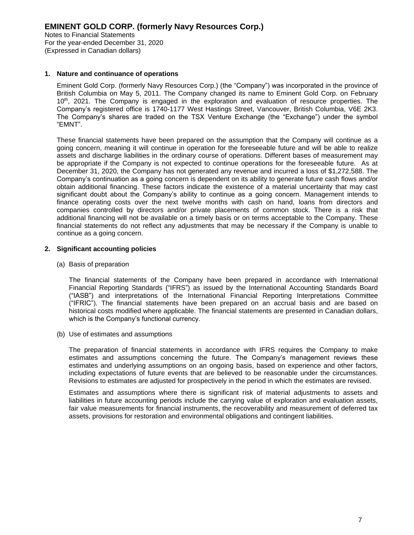### **1. Nature and continuance of operations**

Eminent Gold Corp. (formerly Navy Resources Corp.) (the "Company") was incorporated in the province of British Columbia on May 5, 2011. The Company changed its name to Eminent Gold Corp. on February  $10<sup>th</sup>$ , 2021. The Company is engaged in the exploration and evaluation of resource properties. The Company's registered office is 1740-1177 West Hastings Street, Vancouver, British Columbia, V6E 2K3. The Company's shares are traded on the TSX Venture Exchange (the "Exchange") under the symbol "EMNT".

These financial statements have been prepared on the assumption that the Company will continue as a going concern, meaning it will continue in operation for the foreseeable future and will be able to realize assets and discharge liabilities in the ordinary course of operations. Different bases of measurement may be appropriate if the Company is not expected to continue operations for the foreseeable future. As at December 31, 2020, the Company has not generated any revenue and incurred a loss of \$1,272,588. The Company's continuation as a going concern is dependent on its ability to generate future cash flows and/or obtain additional financing. These factors indicate the existence of a material uncertainty that may cast significant doubt about the Company's ability to continue as a going concern. Management intends to finance operating costs over the next twelve months with cash on hand, loans from directors and companies controlled by directors and/or private placements of common stock. There is a risk that additional financing will not be available on a timely basis or on terms acceptable to the Company. These financial statements do not reflect any adjustments that may be necessary if the Company is unable to continue as a going concern.

### **2. Significant accounting policies**

(a) Basis of preparation

The financial statements of the Company have been prepared in accordance with International Financial Reporting Standards ("IFRS") as issued by the International Accounting Standards Board ("IASB") and interpretations of the International Financial Reporting Interpretations Committee ("IFRIC"). The financial statements have been prepared on an accrual basis and are based on historical costs modified where applicable. The financial statements are presented in Canadian dollars, which is the Company's functional currency.

(b) Use of estimates and assumptions

The preparation of financial statements in accordance with IFRS requires the Company to make estimates and assumptions concerning the future. The Company's management reviews these estimates and underlying assumptions on an ongoing basis, based on experience and other factors, including expectations of future events that are believed to be reasonable under the circumstances. Revisions to estimates are adjusted for prospectively in the period in which the estimates are revised.

Estimates and assumptions where there is significant risk of material adjustments to assets and liabilities in future accounting periods include the carrying value of exploration and evaluation assets, fair value measurements for financial instruments, the recoverability and measurement of deferred tax assets, provisions for restoration and environmental obligations and contingent liabilities.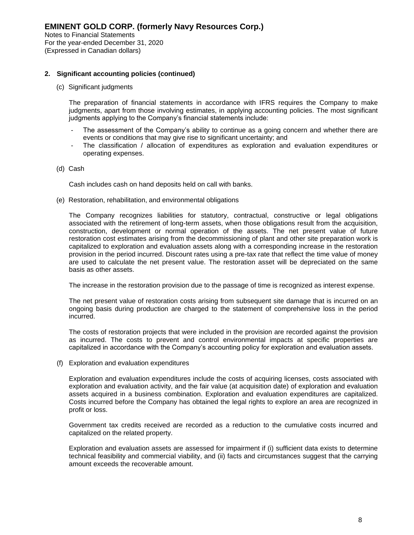### **2. Significant accounting policies (continued)**

(c) Significant judgments

The preparation of financial statements in accordance with IFRS requires the Company to make judgments, apart from those involving estimates, in applying accounting policies. The most significant judgments applying to the Company's financial statements include:

- The assessment of the Company's ability to continue as a going concern and whether there are events or conditions that may give rise to significant uncertainty; and
- The classification / allocation of expenditures as exploration and evaluation expenditures or operating expenses.

### (d) Cash

Cash includes cash on hand deposits held on call with banks.

(e) Restoration, rehabilitation, and environmental obligations

The Company recognizes liabilities for statutory, contractual, constructive or legal obligations associated with the retirement of long-term assets, when those obligations result from the acquisition, construction, development or normal operation of the assets. The net present value of future restoration cost estimates arising from the decommissioning of plant and other site preparation work is capitalized to exploration and evaluation assets along with a corresponding increase in the restoration provision in the period incurred. Discount rates using a pre-tax rate that reflect the time value of money are used to calculate the net present value. The restoration asset will be depreciated on the same basis as other assets.

The increase in the restoration provision due to the passage of time is recognized as interest expense.

The net present value of restoration costs arising from subsequent site damage that is incurred on an ongoing basis during production are charged to the statement of comprehensive loss in the period incurred.

The costs of restoration projects that were included in the provision are recorded against the provision as incurred. The costs to prevent and control environmental impacts at specific properties are capitalized in accordance with the Company's accounting policy for exploration and evaluation assets.

(f) Exploration and evaluation expenditures

Exploration and evaluation expenditures include the costs of acquiring licenses, costs associated with exploration and evaluation activity, and the fair value (at acquisition date) of exploration and evaluation assets acquired in a business combination. Exploration and evaluation expenditures are capitalized. Costs incurred before the Company has obtained the legal rights to explore an area are recognized in profit or loss.

Government tax credits received are recorded as a reduction to the cumulative costs incurred and capitalized on the related property.

Exploration and evaluation assets are assessed for impairment if (i) sufficient data exists to determine technical feasibility and commercial viability, and (ii) facts and circumstances suggest that the carrying amount exceeds the recoverable amount.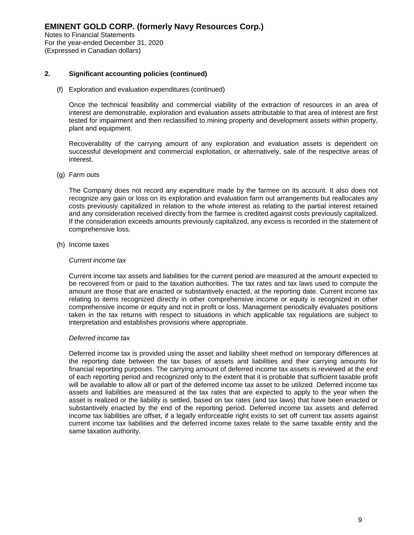### **2. Significant accounting policies (continued)**

(f) Exploration and evaluation expenditures (continued)

Once the technical feasibility and commercial viability of the extraction of resources in an area of interest are demonstrable, exploration and evaluation assets attributable to that area of interest are first tested for impairment and then reclassified to mining property and development assets within property, plant and equipment.

Recoverability of the carrying amount of any exploration and evaluation assets is dependent on successful development and commercial exploitation, or alternatively, sale of the respective areas of interest.

(g) Farm outs

The Company does not record any expenditure made by the farmee on its account. It also does not recognize any gain or loss on its exploration and evaluation farm out arrangements but reallocates any costs previously capitalized in relation to the whole interest as relating to the partial interest retained and any consideration received directly from the farmee is credited against costs previously capitalized. If the consideration exceeds amounts previously capitalized, any excess is recorded in the statement of comprehensive loss.

(h) Income taxes

### *Current income tax*

Current income tax assets and liabilities for the current period are measured at the amount expected to be recovered from or paid to the taxation authorities. The tax rates and tax laws used to compute the amount are those that are enacted or substantively enacted, at the reporting date. Current income tax relating to items recognized directly in other comprehensive income or equity is recognized in other comprehensive income or equity and not in profit or loss. Management periodically evaluates positions taken in the tax returns with respect to situations in which applicable tax regulations are subject to interpretation and establishes provisions where appropriate.

### *Deferred income tax*

Deferred income tax is provided using the asset and liability sheet method on temporary differences at the reporting date between the tax bases of assets and liabilities and their carrying amounts for financial reporting purposes. The carrying amount of deferred income tax assets is reviewed at the end of each reporting period and recognized only to the extent that it is probable that sufficient taxable profit will be available to allow all or part of the deferred income tax asset to be utilized. Deferred income tax assets and liabilities are measured at the tax rates that are expected to apply to the year when the asset is realized or the liability is settled, based on tax rates (and tax laws) that have been enacted or substantively enacted by the end of the reporting period. Deferred income tax assets and deferred income tax liabilities are offset, if a legally enforceable right exists to set off current tax assets against current income tax liabilities and the deferred income taxes relate to the same taxable entity and the same taxation authority.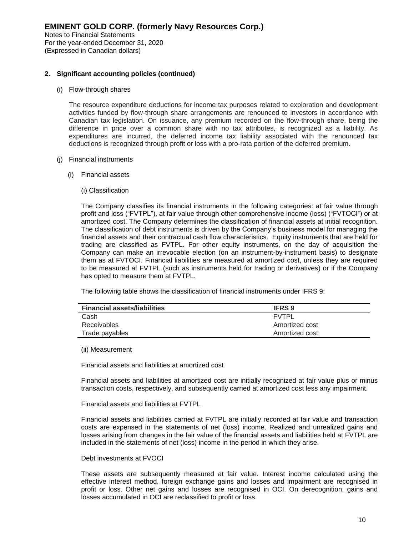### **2. Significant accounting policies (continued)**

(i) Flow-through shares

The resource expenditure deductions for income tax purposes related to exploration and development activities funded by flow-through share arrangements are renounced to investors in accordance with Canadian tax legislation. On issuance, any premium recorded on the flow-through share, being the difference in price over a common share with no tax attributes, is recognized as a liability. As expenditures are incurred, the deferred income tax liability associated with the renounced tax deductions is recognized through profit or loss with a pro-rata portion of the deferred premium.

- (j) Financial instruments
	- (i) Financial assets
		- (i) Classification

The Company classifies its financial instruments in the following categories: at fair value through profit and loss ("FVTPL"), at fair value through other comprehensive income (loss) ("FVTOCI") or at amortized cost. The Company determines the classification of financial assets at initial recognition. The classification of debt instruments is driven by the Company's business model for managing the financial assets and their contractual cash flow characteristics. Equity instruments that are held for trading are classified as FVTPL. For other equity instruments, on the day of acquisition the Company can make an irrevocable election (on an instrument-by-instrument basis) to designate them as at FVTOCI. Financial liabilities are measured at amortized cost, unless they are required to be measured at FVTPL (such as instruments held for trading or derivatives) or if the Company has opted to measure them at FVTPL.

The following table shows the classification of financial instruments under IFRS 9:

| <b>Financial assets/liabilities</b> | <b>IFRS 9</b>  |
|-------------------------------------|----------------|
| Cash                                | <b>FVTPI</b>   |
| <b>Receivables</b>                  | Amortized cost |
| Trade payables                      | Amortized cost |

(ii) Measurement

Financial assets and liabilities at amortized cost

Financial assets and liabilities at amortized cost are initially recognized at fair value plus or minus transaction costs, respectively, and subsequently carried at amortized cost less any impairment.

Financial assets and liabilities at FVTPL

Financial assets and liabilities carried at FVTPL are initially recorded at fair value and transaction costs are expensed in the statements of net (loss) income. Realized and unrealized gains and losses arising from changes in the fair value of the financial assets and liabilities held at FVTPL are included in the statements of net (loss) income in the period in which they arise.

### Debt investments at FVOCI

These assets are subsequently measured at fair value. Interest income calculated using the effective interest method, foreign exchange gains and losses and impairment are recognised in profit or loss. Other net gains and losses are recognised in OCI. On derecognition, gains and losses accumulated in OCI are reclassified to profit or loss.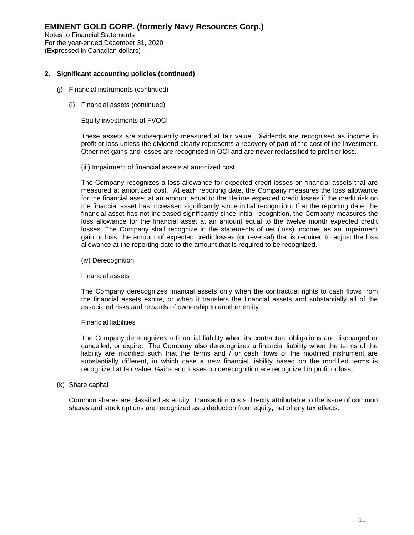Notes to Financial Statements For the year-ended December 31, 2020 (Expressed in Canadian dollars)

### **2. Significant accounting policies (continued)**

- (j) Financial instruments (continued)
	- (i) Financial assets (continued)

Equity investments at FVOCI

These assets are subsequently measured at fair value. Dividends are recognised as income in profit or loss unless the dividend clearly represents a recovery of part of the cost of the investment. Other net gains and losses are recognised in OCI and are never reclassified to profit or loss.

(iii) Impairment of financial assets at amortized cost

The Company recognizes a loss allowance for expected credit losses on financial assets that are measured at amortized cost. At each reporting date, the Company measures the loss allowance for the financial asset at an amount equal to the lifetime expected credit losses if the credit risk on the financial asset has increased significantly since initial recognition. If at the reporting date, the financial asset has not increased significantly since initial recognition, the Company measures the loss allowance for the financial asset at an amount equal to the twelve month expected credit losses. The Company shall recognize in the statements of net (loss) income, as an impairment gain or loss, the amount of expected credit losses (or reversal) that is required to adjust the loss allowance at the reporting date to the amount that is required to be recognized.

(iv) Derecognition

Financial assets

The Company derecognizes financial assets only when the contractual rights to cash flows from the financial assets expire, or when it transfers the financial assets and substantially all of the associated risks and rewards of ownership to another entity.

### Financial liabilities

The Company derecognizes a financial liability when its contractual obligations are discharged or cancelled, or expire. The Company also derecognizes a financial liability when the terms of the liability are modified such that the terms and / or cash flows of the modified instrument are substantially different, in which case a new financial liability based on the modified terms is recognized at fair value. Gains and losses on derecognition are recognized in profit or loss.

(k) Share capital

Common shares are classified as equity. Transaction costs directly attributable to the issue of common shares and stock options are recognized as a deduction from equity, net of any tax effects.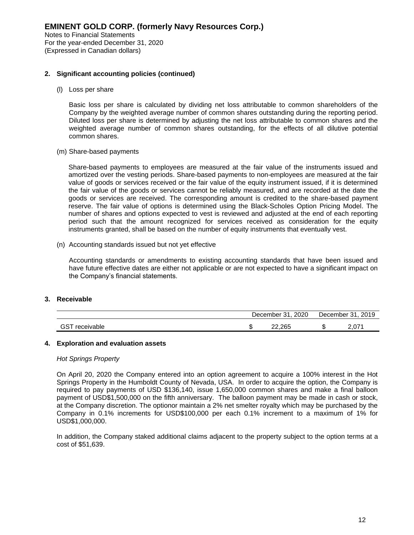### **2. Significant accounting policies (continued)**

(l) Loss per share

Basic loss per share is calculated by dividing net loss attributable to common shareholders of the Company by the weighted average number of common shares outstanding during the reporting period. Diluted loss per share is determined by adjusting the net loss attributable to common shares and the weighted average number of common shares outstanding, for the effects of all dilutive potential common shares.

### (m) Share-based payments

Share-based payments to employees are measured at the fair value of the instruments issued and amortized over the vesting periods. Share-based payments to non-employees are measured at the fair value of goods or services received or the fair value of the equity instrument issued, if it is determined the fair value of the goods or services cannot be reliably measured, and are recorded at the date the goods or services are received. The corresponding amount is credited to the share-based payment reserve. The fair value of options is determined using the Black-Scholes Option Pricing Model. The number of shares and options expected to vest is reviewed and adjusted at the end of each reporting period such that the amount recognized for services received as consideration for the equity instruments granted, shall be based on the number of equity instruments that eventually vest.

(n) Accounting standards issued but not yet effective

Accounting standards or amendments to existing accounting standards that have been issued and have future effective dates are either not applicable or are not expected to have a significant impact on the Company's financial statements.

### **3. Receivable**

|                        | 2020<br>O 4<br>December<br>، ت | December:<br>2019<br>24<br>◡ |                         |  |
|------------------------|--------------------------------|------------------------------|-------------------------|--|
| ~~<br>receivable<br>دت | 22.265                         | - 13                         | 07 <sub>2</sub><br>2.UT |  |

### **4. Exploration and evaluation assets**

### *Hot Springs Property*

On April 20, 2020 the Company entered into an option agreement to acquire a 100% interest in the Hot Springs Property in the Humboldt County of Nevada, USA. In order to acquire the option, the Company is required to pay payments of USD \$136,140, issue 1,650,000 common shares and make a final balloon payment of USD\$1,500,000 on the fifth anniversary. The balloon payment may be made in cash or stock, at the Company discretion. The optionor maintain a 2% net smelter royalty which may be purchased by the Company in 0.1% increments for USD\$100,000 per each 0.1% increment to a maximum of 1% for USD\$1,000,000.

In addition, the Company staked additional claims adjacent to the property subject to the option terms at a cost of \$51,639.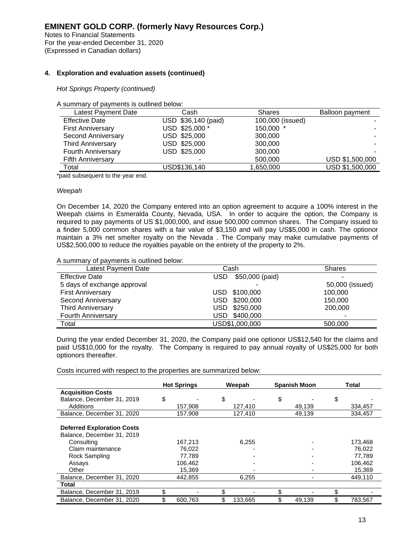Notes to Financial Statements For the year-ended December 31, 2020 (Expressed in Canadian dollars)

### **4. Exploration and evaluation assets (continued)**

### *Hot Springs Property (continued)*

A summary of payments is outlined below:

| Cash                | <b>Shares</b>    | Balloon payment |
|---------------------|------------------|-----------------|
| USD \$36,140 (paid) | 100,000 (issued) |                 |
| USD \$25,000 *      | 150,000 *        |                 |
| USD \$25,000        | 300,000          |                 |
| USD \$25,000        | 300,000          |                 |
| USD \$25,000        | 300,000          |                 |
|                     | 500,000          | USD \$1,500,000 |
| USD\$136,140        | 1,650,000        | USD \$1,500,000 |
|                     |                  |                 |

\*paid subsequent to the year end.

### *Weepah*

On December 14, 2020 the Company entered into an option agreement to acquire a 100% interest in the Weepah claims in Esmeralda County, Nevada, USA. In order to acquire the option, the Company is required to pay payments of US \$1,000,000, and issue 500,000 common shares. The Company issued to a finder 5,000 common shares with a fair value of \$3,150 and will pay US\$5,000 in cash. The optionor maintain a 3% net smelter royalty on the Nevada . The Company may make cumulative payments of US\$2,500,000 to reduce the royalties payable on the entirety of the property to 2%.

### A summary of payments is outlined below:

| Latest Payment Date         | Cash                    | <b>Shares</b>   |
|-----------------------------|-------------------------|-----------------|
| <b>Effective Date</b>       | \$50,000 (paid)<br>USD. | -               |
| 5 days of exchange approval |                         | 50,000 (issued) |
| <b>First Anniversary</b>    | USD \$100,000           | 100,000         |
| <b>Second Anniversary</b>   | USD \$200,000           | 150,000         |
| <b>Third Anniversary</b>    | USD \$250,000           | 200,000         |
| <b>Fourth Anniversary</b>   | USD \$400,000           | -               |
| Total                       | USD\$1,000,000          | 500,000         |

During the year ended December 31, 2020, the Company paid one optionor US\$12,540 for the claims and paid US\$10,000 for the royalty. The Company is required to pay annual royalty of US\$25,000 for both optionors thereafter.

Costs incurred with respect to the properties are summarized below:

|                                                                 | <b>Hot Springs</b> |     | Weepah  | <b>Spanish Moon</b> | Total   |
|-----------------------------------------------------------------|--------------------|-----|---------|---------------------|---------|
| <b>Acquisition Costs</b>                                        |                    |     |         |                     |         |
| Balance, December 31, 2019                                      | \$                 | \$  |         | \$                  | \$      |
| Additions                                                       | 157,908            |     | 127.410 | 49,139              | 334,457 |
| Balance, December 31, 2020                                      | 157,908            |     | 127,410 | 49,139              | 334.457 |
| <b>Deferred Exploration Costs</b><br>Balance, December 31, 2019 |                    |     |         |                     |         |
| Consulting                                                      | 167,213            |     | 6.255   |                     | 173,468 |
| Claim maintenance                                               | 76.022             |     |         |                     | 76.022  |
| <b>Rock Sampling</b>                                            | 77,789             |     |         |                     | 77,789  |
| Assays                                                          | 106,462            |     |         |                     | 106,462 |
| Other                                                           | 15.369             |     |         |                     | 15,369  |
| Balance, December 31, 2020                                      | 442,855            |     | 6.255   |                     | 449,110 |
| Total                                                           |                    |     |         |                     |         |
| Balance, December 31, 2019                                      | \$                 | \$. |         |                     |         |
| Balance, December 31, 2020                                      | 600.763            | \$. | 133,665 | 49,139              | 783.567 |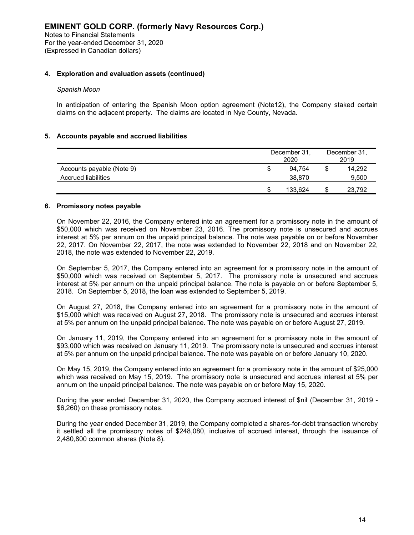### **4. Exploration and evaluation assets (continued)**

#### *Spanish Moon*

 In anticipation of entering the Spanish Moon option agreement (Note12), the Company staked certain claims on the adjacent property. The claims are located in Nye County, Nevada.

### **5. Accounts payable and accrued liabilities**

|                            | December 31.<br>2020 | December 31,<br>2019 |        |  |
|----------------------------|----------------------|----------------------|--------|--|
| Accounts payable (Note 9)  | \$<br>94.754         |                      | 14.292 |  |
| <b>Accrued liabilities</b> | 38,870               |                      | 9,500  |  |
|                            | 133.624              |                      | 23,792 |  |

### **6. Promissory notes payable**

 On November 22, 2016, the Company entered into an agreement for a promissory note in the amount of \$50,000 which was received on November 23, 2016. The promissory note is unsecured and accrues interest at 5% per annum on the unpaid principal balance. The note was payable on or before November 22, 2017. On November 22, 2017, the note was extended to November 22, 2018 and on November 22, 2018, the note was extended to November 22, 2019.

On September 5, 2017, the Company entered into an agreement for a promissory note in the amount of \$50,000 which was received on September 5, 2017. The promissory note is unsecured and accrues interest at 5% per annum on the unpaid principal balance. The note is payable on or before September 5, 2018. On September 5, 2018, the loan was extended to September 5, 2019.

On August 27, 2018, the Company entered into an agreement for a promissory note in the amount of \$15,000 which was received on August 27, 2018. The promissory note is unsecured and accrues interest at 5% per annum on the unpaid principal balance. The note was payable on or before August 27, 2019.

On January 11, 2019, the Company entered into an agreement for a promissory note in the amount of \$93,000 which was received on January 11, 2019. The promissory note is unsecured and accrues interest at 5% per annum on the unpaid principal balance. The note was payable on or before January 10, 2020.

On May 15, 2019, the Company entered into an agreement for a promissory note in the amount of \$25,000 which was received on May 15, 2019. The promissory note is unsecured and accrues interest at 5% per annum on the unpaid principal balance. The note was payable on or before May 15, 2020.

During the year ended December 31, 2020, the Company accrued interest of \$nil (December 31, 2019 - \$6,260) on these promissory notes.

During the year ended December 31, 2019, the Company completed a shares-for-debt transaction whereby it settled all the promissory notes of \$248,080, inclusive of accrued interest, through the issuance of 2,480,800 common shares (Note 8).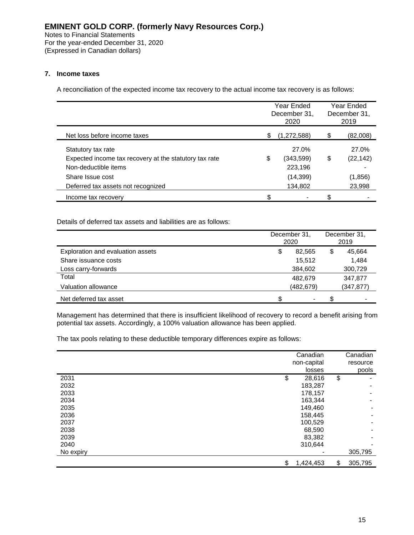For the year-ended December 31, 2020 (Expressed in Canadian dollars)

### **7. Income taxes**

A reconciliation of the expected income tax recovery to the actual income tax recovery is as follows:

|                                                                              |    | Year Ended<br>December 31,<br>2020 | Year Ended<br>December 31,<br>2019 |  |
|------------------------------------------------------------------------------|----|------------------------------------|------------------------------------|--|
| Net loss before income taxes                                                 | æ. | (1,272,588)                        | (82,008)                           |  |
| Statutory tax rate<br>Expected income tax recovery at the statutory tax rate | \$ | 27.0%<br>(343,599)                 | \$<br>27.0%<br>(22, 142)           |  |
| Non-deductible items                                                         |    | 223,196                            |                                    |  |
| Share Issue cost                                                             |    | (14, 399)                          | (1,856)                            |  |
| Deferred tax assets not recognized                                           |    | 134,802                            | 23,998                             |  |
| Income tax recovery                                                          |    |                                    |                                    |  |

Details of deferred tax assets and liabilities are as follows:

|                                   | December 31,<br>2020 | December 31,<br>2019 |            |  |
|-----------------------------------|----------------------|----------------------|------------|--|
| Exploration and evaluation assets | \$<br>82,565         | \$                   | 45,664     |  |
| Share issuance costs              | 15,512               |                      | 1.484      |  |
| Loss carry-forwards               | 384,602              |                      | 300,729    |  |
| Total                             | 482.679              |                      | 347,877    |  |
| Valuation allowance               | (482, 679)           |                      | (347, 877) |  |
| Net deferred tax asset            | \$<br>$\,$           | S                    | $\,$       |  |

Management has determined that there is insufficient likelihood of recovery to record a benefit arising from potential tax assets. Accordingly, a 100% valuation allowance has been applied.

The tax pools relating to these deductible temporary differences expire as follows:

|           | Canadian        | Canadian             |
|-----------|-----------------|----------------------|
|           | non-capital     | resource             |
|           | losses          | pools                |
| 2031      | \$<br>28,616    | \$<br>$\blacksquare$ |
| 2032      | 183,287         | $\blacksquare$       |
| 2033      | 178,157         | $\blacksquare$       |
| 2034      | 163,344         | $\blacksquare$       |
| 2035      | 149,460         |                      |
| 2036      | 158,445         | $\blacksquare$       |
| 2037      | 100,529         |                      |
| 2038      | 68,590          |                      |
| 2039      | 83,382          |                      |
| 2040      | 310,644         |                      |
| No expiry |                 | 305,795              |
|           | \$<br>1,424,453 | \$<br>305,795        |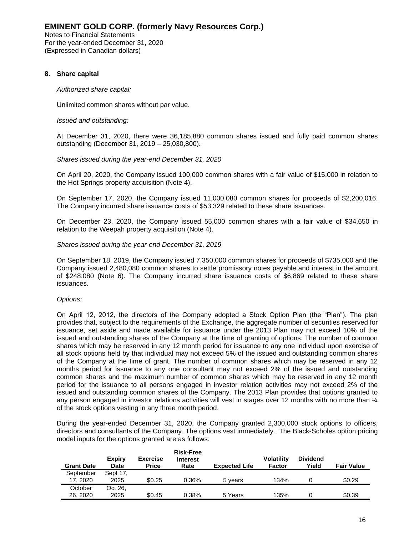Notes to Financial Statements For the year-ended December 31, 2020 (Expressed in Canadian dollars)

### **8. Share capital**

### *Authorized share capital:*

Unlimited common shares without par value.

### *Issued and outstanding:*

At December 31, 2020, there were 36,185,880 common shares issued and fully paid common shares outstanding (December 31, 2019 – 25,030,800).

### *Shares issued during the year-end December 31, 2020*

On April 20, 2020, the Company issued 100,000 common shares with a fair value of \$15,000 in relation to the Hot Springs property acquisition (Note 4).

On September 17, 2020, the Company issued 11,000,080 common shares for proceeds of \$2,200,016. The Company incurred share issuance costs of \$53,329 related to these share issuances.

On December 23, 2020, the Company issued 55,000 common shares with a fair value of \$34,650 in relation to the Weepah property acquisition (Note 4).

### *Shares issued during the year-end December 31, 2019*

On September 18, 2019, the Company issued 7,350,000 common shares for proceeds of \$735,000 and the Company issued 2,480,080 common shares to settle promissory notes payable and interest in the amount of \$248,080 (Note 6). The Company incurred share issuance costs of \$6,869 related to these share issuances.

### *Options:*

On April 12, 2012, the directors of the Company adopted a Stock Option Plan (the "Plan"). The plan provides that, subject to the requirements of the Exchange, the aggregate number of securities reserved for issuance, set aside and made available for issuance under the 2013 Plan may not exceed 10% of the issued and outstanding shares of the Company at the time of granting of options. The number of common shares which may be reserved in any 12 month period for issuance to any one individual upon exercise of all stock options held by that individual may not exceed 5% of the issued and outstanding common shares of the Company at the time of grant. The number of common shares which may be reserved in any 12 months period for issuance to any one consultant may not exceed 2% of the issued and outstanding common shares and the maximum number of common shares which may be reserved in any 12 month period for the issuance to all persons engaged in investor relation activities may not exceed 2% of the issued and outstanding common shares of the Company. The 2013 Plan provides that options granted to any person engaged in investor relations activities will vest in stages over 12 months with no more than 1/4 of the stock options vesting in any three month period.

During the year-ended December 31, 2020, the Company granted 2,300,000 stock options to officers, directors and consultants of the Company. The options vest immediately. The Black-Scholes option pricing model inputs for the options granted are as follows:

| <b>Grant Date</b> | <b>Expiry</b><br><b>Date</b> | <b>Exercise</b><br><b>Price</b> | <b>Risk-Free</b><br><b>Interest</b><br>Rate | <b>Expected Life</b> | <b>Volatility</b><br><b>Factor</b> | <b>Dividend</b><br>Yield | <b>Fair Value</b> |
|-------------------|------------------------------|---------------------------------|---------------------------------------------|----------------------|------------------------------------|--------------------------|-------------------|
| September         | Sept 17.                     |                                 |                                             |                      |                                    |                          |                   |
| 17, 2020          | 2025                         | \$0.25                          | 0.36%                                       | 5 vears              | 134%                               |                          | \$0.29            |
| October           | Oct 26,                      |                                 |                                             |                      |                                    |                          |                   |
| 26, 2020          | 2025                         | \$0.45                          | 0.38%                                       | 5 Years              | 135%                               |                          | \$0.39            |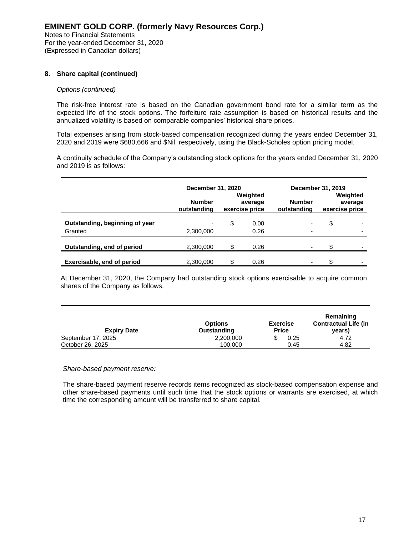### **8. Share capital (continued)**

### *Options (continued)*

The risk-free interest rate is based on the Canadian government bond rate for a similar term as the expected life of the stock options. The forfeiture rate assumption is based on historical results and the annualized volatility is based on comparable companies' historical share prices.

Total expenses arising from stock-based compensation recognized during the years ended December 31, 2020 and 2019 were \$680,666 and \$Nil, respectively, using the Black-Scholes option pricing model.

A continuity schedule of the Company's outstanding stock options for the years ended December 31, 2020 and 2019 is as follows:

|                                           | December 31, 2020<br>Weighted<br><b>Number</b><br>average<br>exercise price<br>outstanding |    | <b>Number</b><br>outstanding | December 31, 2019<br>Weighted<br>average<br>exercise price |    |  |
|-------------------------------------------|--------------------------------------------------------------------------------------------|----|------------------------------|------------------------------------------------------------|----|--|
| Outstanding, beginning of year<br>Granted | 2,300,000                                                                                  | \$ | 0.00<br>0.26                 |                                                            | \$ |  |
| Outstanding, end of period                | 2,300,000                                                                                  | \$ | 0.26                         |                                                            | \$ |  |
| Exercisable, end of period                | 2,300,000                                                                                  | \$ | 0.26                         |                                                            | \$ |  |

At December 31, 2020, the Company had outstanding stock options exercisable to acquire common shares of the Company as follows:

| <b>Expiry Date</b> | <b>Options</b><br>Outstanding | <b>Exercise</b><br><b>Price</b> |      | Remaining<br><b>Contractual Life (in</b><br>vears) |  |
|--------------------|-------------------------------|---------------------------------|------|----------------------------------------------------|--|
| September 17, 2025 | 2,200,000                     |                                 | 0.25 | 4.72                                               |  |
| October 26, 2025   | 100,000                       |                                 | 0.45 | 4.82                                               |  |

#### *Share-based payment reserve:*

The share-based payment reserve records items recognized as stock-based compensation expense and other share-based payments until such time that the stock options or warrants are exercised, at which time the corresponding amount will be transferred to share capital.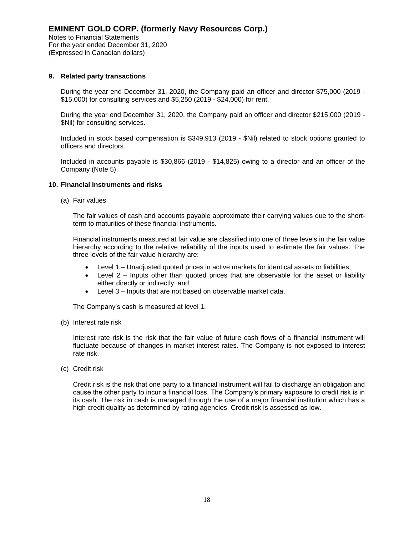Notes to Financial Statements For the year ended December 31, 2020 (Expressed in Canadian dollars)

### **9. Related party transactions**

During the year end December 31, 2020, the Company paid an officer and director \$75,000 (2019 - \$15,000) for consulting services and \$5,250 (2019 - \$24,000) for rent.

During the year end December 31, 2020, the Company paid an officer and director \$215,000 (2019 - \$Nil) for consulting services.

Included in stock based compensation is \$349,913 (2019 - \$Nil) related to stock options granted to officers and directors.

Included in accounts payable is \$30,866 (2019 - \$14,825) owing to a director and an officer of the Company (Note 5).

### **10. Financial instruments and risks**

(a) Fair values

The fair values of cash and accounts payable approximate their carrying values due to the shortterm to maturities of these financial instruments.

Financial instruments measured at fair value are classified into one of three levels in the fair value hierarchy according to the relative reliability of the inputs used to estimate the fair values. The three levels of the fair value hierarchy are:

- Level 1 Unadjusted quoted prices in active markets for identical assets or liabilities;
- Level 2 Inputs other than quoted prices that are observable for the asset or liability either directly or indirectly; and
- Level 3 Inputs that are not based on observable market data.

The Company's cash is measured at level 1.

(b) Interest rate risk

Interest rate risk is the risk that the fair value of future cash flows of a financial instrument will fluctuate because of changes in market interest rates. The Company is not exposed to interest rate risk.

(c) Credit risk

Credit risk is the risk that one party to a financial instrument will fail to discharge an obligation and cause the other party to incur a financial loss. The Company's primary exposure to credit risk is in its cash. The risk in cash is managed through the use of a major financial institution which has a high credit quality as determined by rating agencies. Credit risk is assessed as low.